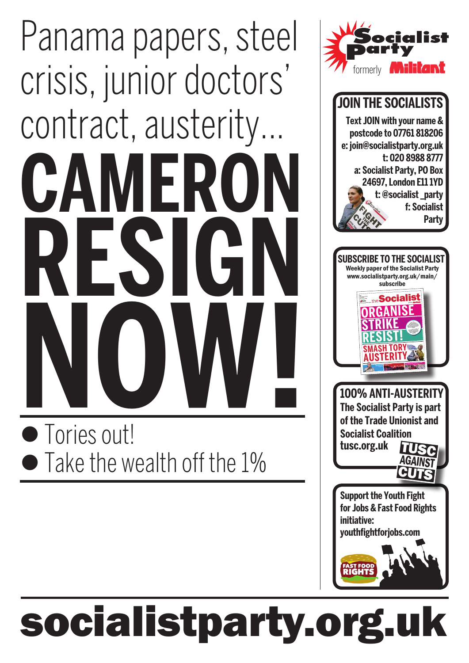# **Cameron resign now!** Panama papers, steel crisis, junior doctors' contract, austerity...

 Tories out! • Take the wealth off the 1%



### **join the socialists Text join with your name & postcode to 07761 818206 e: join@socialistparty.org.uk t: 020 8988 8777 a: Socialist Party, PO Box 24697, London E11 1YD t: @socialist \_party f: Socialist Party**



## socialistparty.org.uk